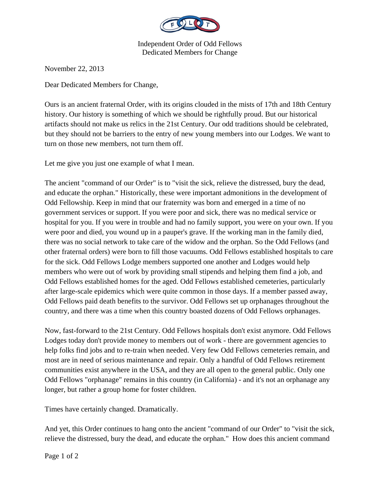

Independent Order of Odd Fellows Dedicated Members for Change

November 22, 2013

Dear Dedicated Members for Change,

Ours is an ancient fraternal Order, with its origins clouded in the mists of 17th and 18th Century history. Our history is something of which we should be rightfully proud. But our historical artifacts should not make us relics in the 21st Century. Our odd traditions should be celebrated, but they should not be barriers to the entry of new young members into our Lodges. We want to turn on those new members, not turn them off.

Let me give you just one example of what I mean.

The ancient "command of our Order" is to "visit the sick, relieve the distressed, bury the dead, and educate the orphan." Historically, these were important admonitions in the development of Odd Fellowship. Keep in mind that our fraternity was born and emerged in a time of no government services or support. If you were poor and sick, there was no medical service or hospital for you. If you were in trouble and had no family support, you were on your own. If you were poor and died, you wound up in a pauper's grave. If the working man in the family died, there was no social network to take care of the widow and the orphan. So the Odd Fellows (and other fraternal orders) were born to fill those vacuums. Odd Fellows established hospitals to care for the sick. Odd Fellows Lodge members supported one another and Lodges would help members who were out of work by providing small stipends and helping them find a job, and Odd Fellows established homes for the aged. Odd Fellows established cemeteries, particularly after large-scale epidemics which were quite common in those days. If a member passed away, Odd Fellows paid death benefits to the survivor. Odd Fellows set up orphanages throughout the country, and there was a time when this country boasted dozens of Odd Fellows orphanages.

Now, fast-forward to the 21st Century. Odd Fellows hospitals don't exist anymore. Odd Fellows Lodges today don't provide money to members out of work - there are government agencies to help folks find jobs and to re-train when needed. Very few Odd Fellows cemeteries remain, and most are in need of serious maintenance and repair. Only a handful of Odd Fellows retirement communities exist anywhere in the USA, and they are all open to the general public. Only one Odd Fellows "orphanage" remains in this country (in California) - and it's not an orphanage any longer, but rather a group home for foster children.

Times have certainly changed. Dramatically.

And yet, this Order continues to hang onto the ancient "command of our Order" to "visit the sick, relieve the distressed, bury the dead, and educate the orphan." How does this ancient command